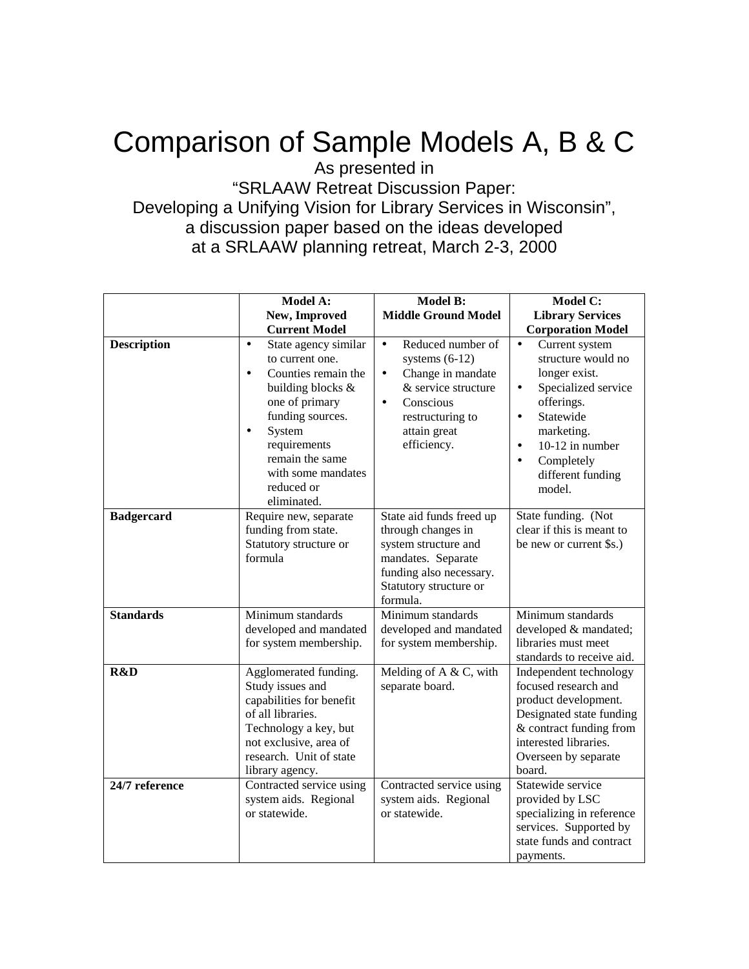## Comparison of Sample Models A, B & C

As presented in

"SRLAAW Retreat Discussion Paper: Developing a Unifying Vision for Library Services in Wisconsin", a discussion paper based on the ideas developed at a SRLAAW planning retreat, March 2-3, 2000

|                    | <b>Model A:</b>                                                                                                                                                                                                                                                  | <b>Model B:</b>                                                                                                                                                                          | <b>Model C:</b>                                                                                                                                                                                                                                        |
|--------------------|------------------------------------------------------------------------------------------------------------------------------------------------------------------------------------------------------------------------------------------------------------------|------------------------------------------------------------------------------------------------------------------------------------------------------------------------------------------|--------------------------------------------------------------------------------------------------------------------------------------------------------------------------------------------------------------------------------------------------------|
|                    | New, Improved                                                                                                                                                                                                                                                    | <b>Middle Ground Model</b>                                                                                                                                                               | <b>Library Services</b>                                                                                                                                                                                                                                |
|                    | <b>Current Model</b>                                                                                                                                                                                                                                             |                                                                                                                                                                                          | <b>Corporation Model</b>                                                                                                                                                                                                                               |
| <b>Description</b> | State agency similar<br>$\bullet$<br>to current one.<br>Counties remain the<br>$\bullet$<br>building blocks &<br>one of primary<br>funding sources.<br>System<br>$\bullet$<br>requirements<br>remain the same<br>with some mandates<br>reduced or<br>eliminated. | Reduced number of<br>$\bullet$<br>systems $(6-12)$<br>Change in mandate<br>$\bullet$<br>& service structure<br>Conscious<br>$\bullet$<br>restructuring to<br>attain great<br>efficiency. | Current system<br>$\bullet$<br>structure would no<br>longer exist.<br>Specialized service<br>$\bullet$<br>offerings.<br>Statewide<br>$\bullet$<br>marketing.<br>10-12 in number<br>$\bullet$<br>Completely<br>$\bullet$<br>different funding<br>model. |
| <b>Badgercard</b>  | Require new, separate<br>funding from state.<br>Statutory structure or<br>formula                                                                                                                                                                                | State aid funds freed up<br>through changes in<br>system structure and<br>mandates. Separate<br>funding also necessary.<br>Statutory structure or<br>formula.                            | State funding. (Not<br>clear if this is meant to<br>be new or current \$s.)                                                                                                                                                                            |
| <b>Standards</b>   | Minimum standards<br>developed and mandated<br>for system membership.                                                                                                                                                                                            | Minimum standards<br>developed and mandated<br>for system membership.                                                                                                                    | Minimum standards<br>developed & mandated;<br>libraries must meet<br>standards to receive aid.                                                                                                                                                         |
| R&D                | Agglomerated funding.<br>Study issues and<br>capabilities for benefit<br>of all libraries.<br>Technology a key, but<br>not exclusive, area of<br>research. Unit of state<br>library agency.                                                                      | Melding of $A & C$ , with<br>separate board.                                                                                                                                             | Independent technology<br>focused research and<br>product development.<br>Designated state funding<br>& contract funding from<br>interested libraries.<br>Overseen by separate<br>board.                                                               |
| 24/7 reference     | Contracted service using<br>system aids. Regional<br>or statewide.                                                                                                                                                                                               | Contracted service using<br>system aids. Regional<br>or statewide.                                                                                                                       | Statewide service<br>provided by LSC<br>specializing in reference<br>services. Supported by<br>state funds and contract<br>payments.                                                                                                                   |